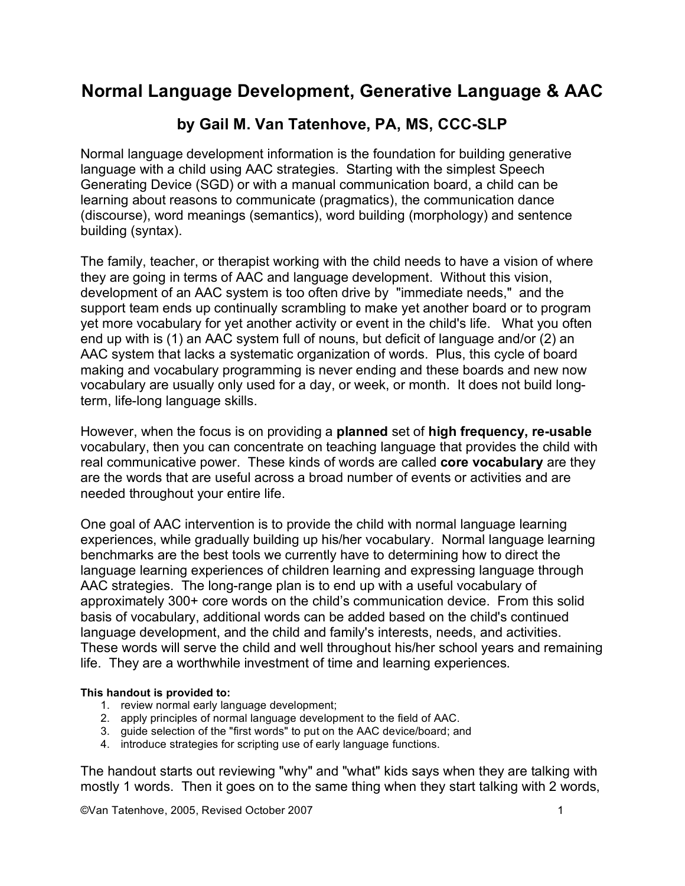# **Normal Language Development, Generative Language & AAC**

# **by Gail M. Van Tatenhove, PA, MS, CCC-SLP**

Normal language development information is the foundation for building generative language with a child using AAC strategies. Starting with the simplest Speech Generating Device (SGD) or with a manual communication board, a child can be learning about reasons to communicate (pragmatics), the communication dance (discourse), word meanings (semantics), word building (morphology) and sentence building (syntax).

The family, teacher, or therapist working with the child needs to have a vision of where they are going in terms of AAC and language development. Without this vision, development of an AAC system is too often drive by "immediate needs," and the support team ends up continually scrambling to make yet another board or to program yet more vocabulary for yet another activity or event in the child's life. What you often end up with is (1) an AAC system full of nouns, but deficit of language and/or (2) an AAC system that lacks a systematic organization of words. Plus, this cycle of board making and vocabulary programming is never ending and these boards and new now vocabulary are usually only used for a day, or week, or month. It does not build longterm, life-long language skills.

However, when the focus is on providing a **planned** set of **high frequency, re-usable** vocabulary, then you can concentrate on teaching language that provides the child with real communicative power. These kinds of words are called **core vocabulary** are they are the words that are useful across a broad number of events or activities and are needed throughout your entire life.

One goal of AAC intervention is to provide the child with normal language learning experiences, while gradually building up his/her vocabulary. Normal language learning benchmarks are the best tools we currently have to determining how to direct the language learning experiences of children learning and expressing language through AAC strategies. The long-range plan is to end up with a useful vocabulary of approximately 300+ core words on the child's communication device. From this solid basis of vocabulary, additional words can be added based on the child's continued language development, and the child and family's interests, needs, and activities. These words will serve the child and well throughout his/her school years and remaining life. They are a worthwhile investment of time and learning experiences.

#### **This handout is provided to:**

- 1. review normal early language development;
- 2. apply principles of normal language development to the field of AAC.
- 3. guide selection of the "first words" to put on the AAC device/board; and
- 4. introduce strategies for scripting use of early language functions.

The handout starts out reviewing "why" and "what" kids says when they are talking with mostly 1 words. Then it goes on to the same thing when they start talking with 2 words,

©Van Tatenhove, 2005, Revised October 2007 1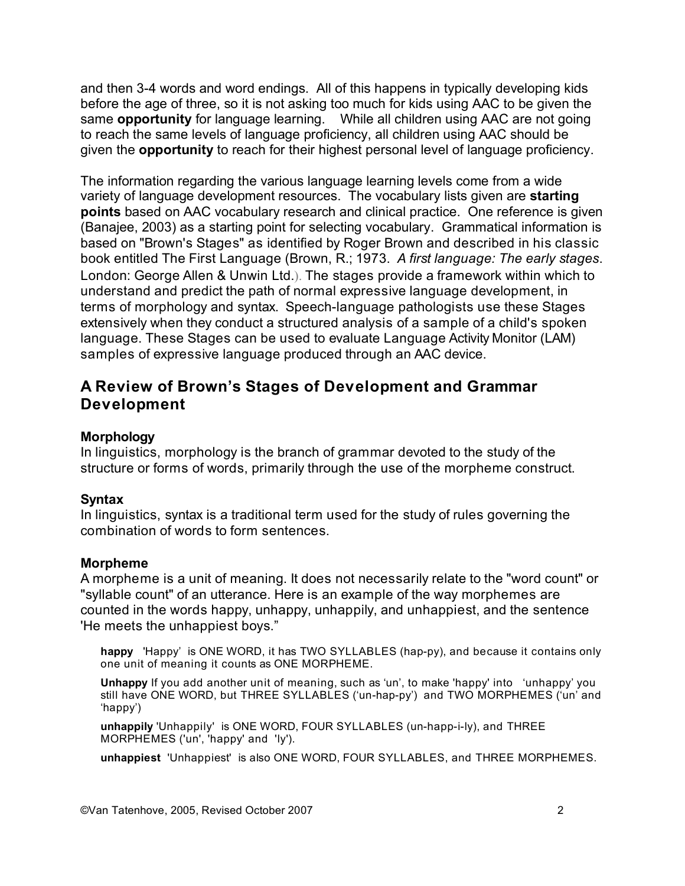and then 3-4 words and word endings. All of this happens in typically developing kids before the age of three, so it is not asking too much for kids using AAC to be given the same **opportunity** for language learning. While all children using AAC are not going to reach the same levels of language proficiency, all children using AAC should be given the **opportunity** to reach for their highest personal level of language proficiency.

The information regarding the various language learning levels come from a wide variety of language development resources. The vocabulary lists given are **starting points** based on AAC vocabulary research and clinical practice. One reference is given (Banajee, 2003) as a starting point for selecting vocabulary. Grammatical information is based on "Brown's Stages" as identified by Roger Brown and described in his classic book entitled The First Language (Brown, R.; 1973. *A first language: The early stages*. London: George Allen & Unwin Ltd.). The stages provide a framework within which to understand and predict the path of normal expressive language development, in terms of morphology and syntax. Speech-language pathologists use these Stages extensively when they conduct a structured analysis of a sample of a child's spoken language. These Stages can be used to evaluate Language Activity Monitor (LAM) samples of expressive language produced through an AAC device.

### **A Review of Brown's Stages of Development and Grammar Development**

### **Morphology**

In linguistics, morphology is the branch of grammar devoted to the study of the structure or forms of words, primarily through the use of the morpheme construct.

### **Syntax**

In linguistics, syntax is a traditional term used for the study of rules governing the combination of words to form sentences.

### **Morpheme**

A morpheme is a unit of meaning. It does not necessarily relate to the "word count" or "syllable count" of an utterance. Here is an example of the way morphemes are counted in the words happy, unhappy, unhappily, and unhappiest, and the sentence 'He meets the unhappiest boys."

**happy** 'Happy' is ONE WORD, it has TWO SYLLABLES (hap-py), and because it contains only one unit of meaning it counts as ONE MORPHEME.

**Unhappy** If you add another unit of meaning, such as 'un', to make 'happy' into 'unhappy' you still have ONE WORD, but THREE SYLLABLES ('un-hap-py') and TWO MORPHEMES ('un' and 'happy')

**unhappily** 'Unhappily' is ONE WORD, FOUR SYLLABLES (un-happ-i-ly), and THREE MORPHEMES ('un', 'happy' and 'ly').

**unhappiest** 'Unhappiest' is also ONE WORD, FOUR SYLLABLES, and THREE MORPHEMES.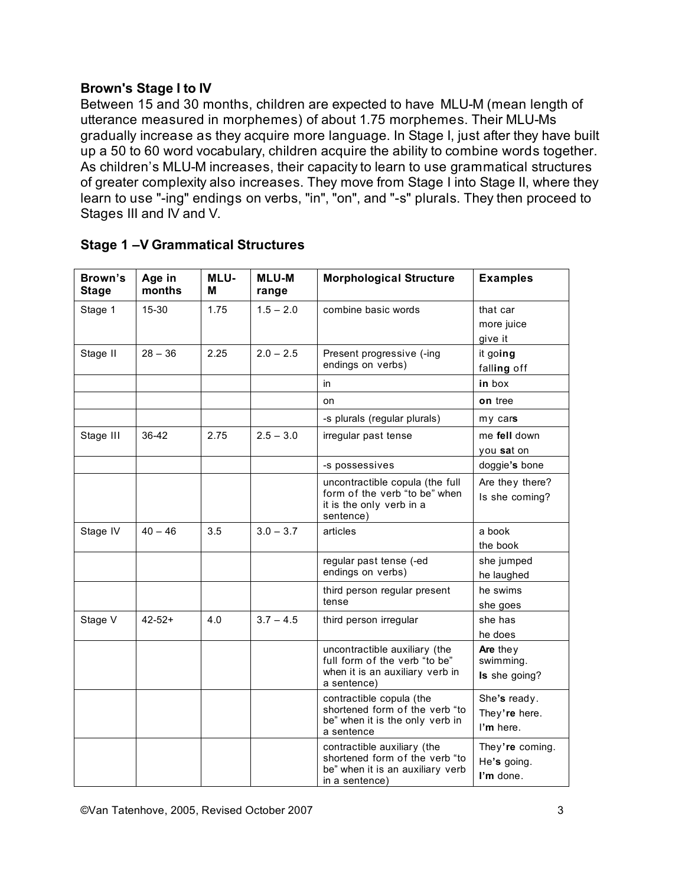### **Brown's Stage I to IV**

Between 15 and 30 months, children are expected to have MLU-M (mean length of utterance measured in morphemes) of about 1.75 morphemes. Their MLU-Ms gradually increase as they acquire more language. In Stage I, just after they have built up a 50 to 60 word vocabulary, children acquire the ability to combine words together. As children's MLU-M increases, their capacity to learn to use grammatical structures of greater complexity also increases. They move from Stage I into Stage II, where they learn to use "-ing" endings on verbs, "in", "on", and "-s" plurals. They then proceed to Stages III and IV and V.

| Brown's<br><b>Stage</b> | Age in<br>months | <b>MLU-</b><br>м | <b>MLU-M</b><br>range | <b>Morphological Structure</b>                                                                                      | <b>Examples</b>                             |
|-------------------------|------------------|------------------|-----------------------|---------------------------------------------------------------------------------------------------------------------|---------------------------------------------|
| Stage 1                 | 15-30            | 1.75             | $1.5 - 2.0$           | combine basic words                                                                                                 | that car<br>more juice<br>give it           |
| Stage II                | $28 - 36$        | 2.25             | $2.0 - 2.5$           | Present progressive (-ing<br>endings on verbs)                                                                      | it going<br>falling off                     |
|                         |                  |                  |                       | in                                                                                                                  | in box                                      |
|                         |                  |                  |                       | on                                                                                                                  | on tree                                     |
|                         |                  |                  |                       | -s plurals (regular plurals)                                                                                        | my cars                                     |
| Stage III               | 36-42            | 2.75             | $2.5 - 3.0$           | irregular past tense                                                                                                | me fell down<br>you sat on                  |
|                         |                  |                  |                       | -s possessives                                                                                                      | doggie's bone                               |
|                         |                  |                  |                       | uncontractible copula (the full<br>form of the verb "to be" when<br>it is the only verb in a<br>sentence)           | Are they there?<br>Is she coming?           |
| Stage IV                | $40 - 46$        | 3.5              | $3.0 - 3.7$           | articles                                                                                                            | a book<br>the book                          |
|                         |                  |                  |                       | regular past tense (-ed<br>endings on verbs)                                                                        | she jumped<br>he laughed                    |
|                         |                  |                  |                       | third person regular present<br>tense                                                                               | he swims<br>she goes                        |
| Stage V                 | $42 - 52 +$      | 4.0              | $3.7 - 4.5$           | third person irregular                                                                                              | she has<br>he does                          |
|                         |                  |                  |                       | uncontractible auxiliary (the<br>full form of the verb "to be"<br>when it is an auxiliary verb in<br>a sentence)    | Are they<br>swimming.<br>Is she going?      |
|                         |                  |                  |                       | contractible copula (the<br>shortened form of the verb "to<br>be" when it is the only verb in<br>a sentence         | She's ready.<br>They're here.<br>I'm here.  |
|                         |                  |                  |                       | contractible auxiliary (the<br>shortened form of the verb "to<br>be" when it is an auxiliary verb<br>in a sentence) | They're coming.<br>He's going.<br>I'm done. |

### **Stage 1 –V Grammatical Structures**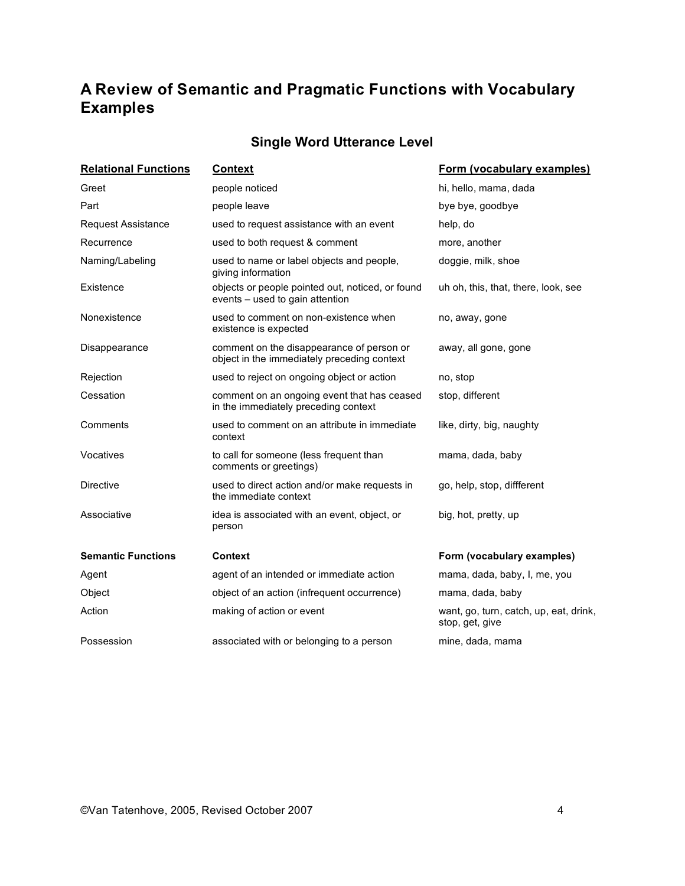# **A Review of Semantic and Pragmatic Functions with Vocabulary Examples**

## **Single Word Utterance Level**

| <b>Relational Functions</b>                                           | <b>Context</b>                                                                           | Form (vocabulary examples)          |  |  |  |
|-----------------------------------------------------------------------|------------------------------------------------------------------------------------------|-------------------------------------|--|--|--|
| Greet                                                                 | people noticed                                                                           | hi, hello, mama, dada               |  |  |  |
| Part                                                                  | people leave                                                                             | bye bye, goodbye                    |  |  |  |
| <b>Request Assistance</b>                                             | used to request assistance with an event                                                 | help, do                            |  |  |  |
| Recurrence                                                            | used to both request & comment                                                           | more, another                       |  |  |  |
| Naming/Labeling                                                       | used to name or label objects and people,<br>giving information                          | doggie, milk, shoe                  |  |  |  |
| Existence                                                             | objects or people pointed out, noticed, or found<br>events – used to gain attention      | uh oh, this, that, there, look, see |  |  |  |
| Nonexistence                                                          | used to comment on non-existence when<br>existence is expected                           | no, away, gone                      |  |  |  |
| Disappearance                                                         | comment on the disappearance of person or<br>object in the immediately preceding context | away, all gone, gone                |  |  |  |
| Rejection                                                             | used to reject on ongoing object or action                                               | no, stop                            |  |  |  |
| Cessation                                                             | comment on an ongoing event that has ceased<br>in the immediately preceding context      | stop, different                     |  |  |  |
| Comments                                                              | used to comment on an attribute in immediate<br>context                                  | like, dirty, big, naughty           |  |  |  |
| Vocatives                                                             | to call for someone (less frequent than<br>comments or greetings)                        | mama, dada, baby                    |  |  |  |
| <b>Directive</b>                                                      | used to direct action and/or make requests in<br>the immediate context                   | go, help, stop, diffferent          |  |  |  |
| Associative<br>idea is associated with an event, object, or<br>person |                                                                                          | big, hot, pretty, up                |  |  |  |
| <b>Semantic Functions</b>                                             | Context                                                                                  | Form (vocabulary examples)          |  |  |  |
| Agent                                                                 | agent of an intended or immediate action                                                 | mama, dada, baby, I, me, you        |  |  |  |
| Object                                                                | object of an action (infrequent occurrence)                                              | mama, dada, baby                    |  |  |  |
| Action                                                                | making of action or event<br>want, go, turn, catch, up, eat, drink,<br>stop, get, give   |                                     |  |  |  |
| Possession                                                            | associated with or belonging to a person                                                 | mine, dada, mama                    |  |  |  |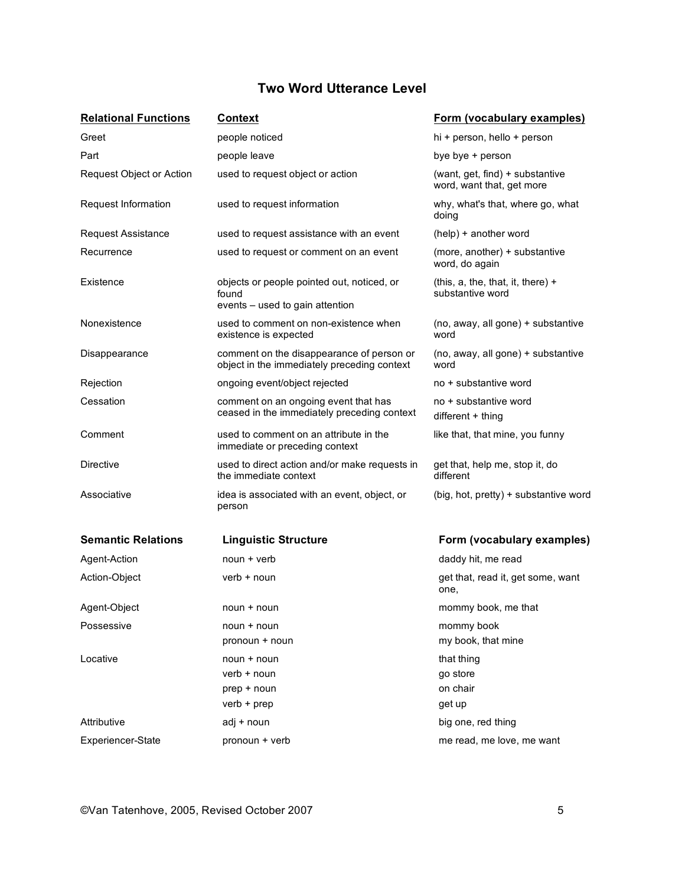### **Two Word Utterance Level**

| <b>Relational Functions</b>      | <b>Context</b>                                                                           | Form (vocabulary examples)                                                                  |  |  |
|----------------------------------|------------------------------------------------------------------------------------------|---------------------------------------------------------------------------------------------|--|--|
| Greet                            | people noticed                                                                           | hi + person, hello + person                                                                 |  |  |
| Part                             | people leave                                                                             | bye bye + person                                                                            |  |  |
| Request Object or Action         | used to request object or action                                                         | (want, get, find) + substantive<br>word, want that, get more                                |  |  |
| Request Information              | used to request information                                                              | why, what's that, where go, what<br>doing                                                   |  |  |
| <b>Request Assistance</b>        | used to request assistance with an event                                                 | (help) + another word                                                                       |  |  |
| Recurrence                       | used to request or comment on an event                                                   | (more, another) + substantive<br>word, do again                                             |  |  |
| Existence                        | objects or people pointed out, noticed, or<br>found<br>events – used to gain attention   | (this, $a$ , the, that, it, there) +<br>substantive word                                    |  |  |
| Nonexistence                     | used to comment on non-existence when<br>existence is expected                           | (no, away, all gone) + substantive<br>word                                                  |  |  |
| Disappearance                    | comment on the disappearance of person or<br>object in the immediately preceding context | (no, away, all gone) + substantive<br>word                                                  |  |  |
| Rejection                        | ongoing event/object rejected                                                            | no + substantive word                                                                       |  |  |
| Cessation                        | comment on an ongoing event that has<br>ceased in the immediately preceding context      | no + substantive word<br>$differential$ + thing                                             |  |  |
| Comment                          | used to comment on an attribute in the<br>immediate or preceding context                 | like that, that mine, you funny                                                             |  |  |
| Directive                        | used to direct action and/or make requests in<br>the immediate context                   | get that, help me, stop it, do<br>different                                                 |  |  |
| Associative                      | idea is associated with an event, object, or<br>person                                   | (big, hot, pretty) + substantive word                                                       |  |  |
| <b>Semantic Relations</b>        | <b>Linguistic Structure</b>                                                              | Form (vocabulary examples)                                                                  |  |  |
| Agent-Action                     | $noun + verb$                                                                            | daddy hit, me read                                                                          |  |  |
| Action-Object                    | verb + noun                                                                              | get that, read it, get some, want<br>one,                                                   |  |  |
| Agent-Object                     | noun + noun                                                                              | mommy book, me that                                                                         |  |  |
| Possessive                       | noun + noun                                                                              | mommy book                                                                                  |  |  |
|                                  | pronoun + noun                                                                           |                                                                                             |  |  |
| Locative                         | noun + noun                                                                              | that thing                                                                                  |  |  |
|                                  |                                                                                          | go store                                                                                    |  |  |
|                                  |                                                                                          |                                                                                             |  |  |
|                                  |                                                                                          |                                                                                             |  |  |
|                                  |                                                                                          |                                                                                             |  |  |
| Attributive<br>Experiencer-State | verb + noun<br>prep + noun<br>verb + prep<br>adj + noun<br>pronoun + verb                | my book, that mine<br>on chair<br>get up<br>big one, red thing<br>me read, me love, me want |  |  |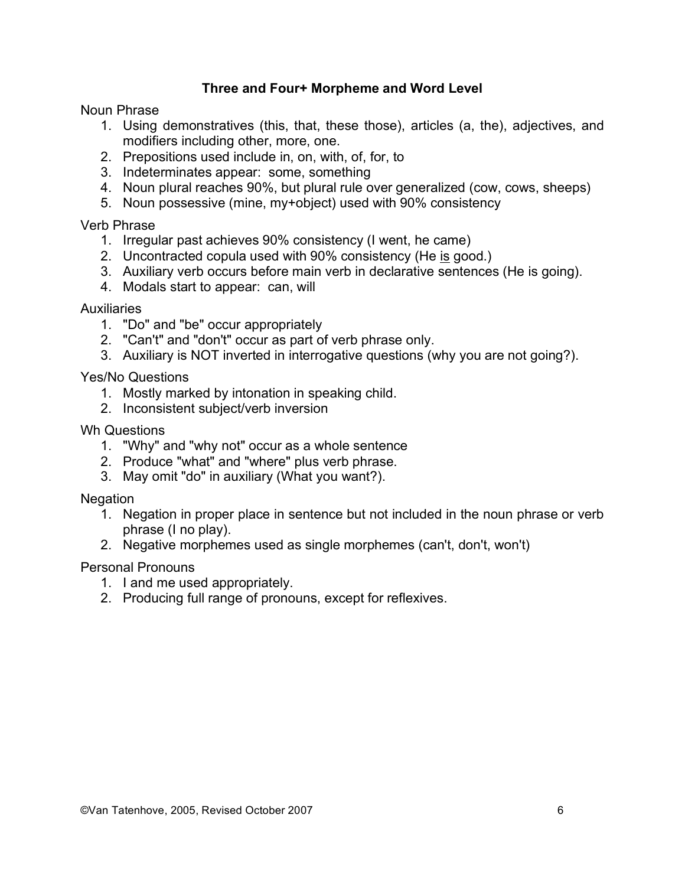### **Three and Four+ Morpheme and Word Level**

Noun Phrase

- 1. Using demonstratives (this, that, these those), articles (a, the), adjectives, and modifiers including other, more, one.
- 2. Prepositions used include in, on, with, of, for, to
- 3. Indeterminates appear: some, something
- 4. Noun plural reaches 90%, but plural rule over generalized (cow, cows, sheeps)
- 5. Noun possessive (mine, my+object) used with 90% consistency

Verb Phrase

- 1. Irregular past achieves 90% consistency (I went, he came)
- 2. Uncontracted copula used with 90% consistency (He is good.)
- 3. Auxiliary verb occurs before main verb in declarative sentences (He is going).
- 4. Modals start to appear: can, will

#### **Auxiliaries**

- 1. "Do" and "be" occur appropriately
- 2. "Can't" and "don't" occur as part of verb phrase only.
- 3. Auxiliary is NOT inverted in interrogative questions (why you are not going?).

Yes/No Questions

- 1. Mostly marked by intonation in speaking child.
- 2. Inconsistent subject/verb inversion

Wh Questions

- 1. "Why" and "why not" occur as a whole sentence
- 2. Produce "what" and "where" plus verb phrase.
- 3. May omit "do" in auxiliary (What you want?).

**Negation** 

- 1. Negation in proper place in sentence but not included in the noun phrase or verb phrase (I no play).
- 2. Negative morphemes used as single morphemes (can't, don't, won't)

### Personal Pronouns

- 1. I and me used appropriately.
- 2. Producing full range of pronouns, except for reflexives.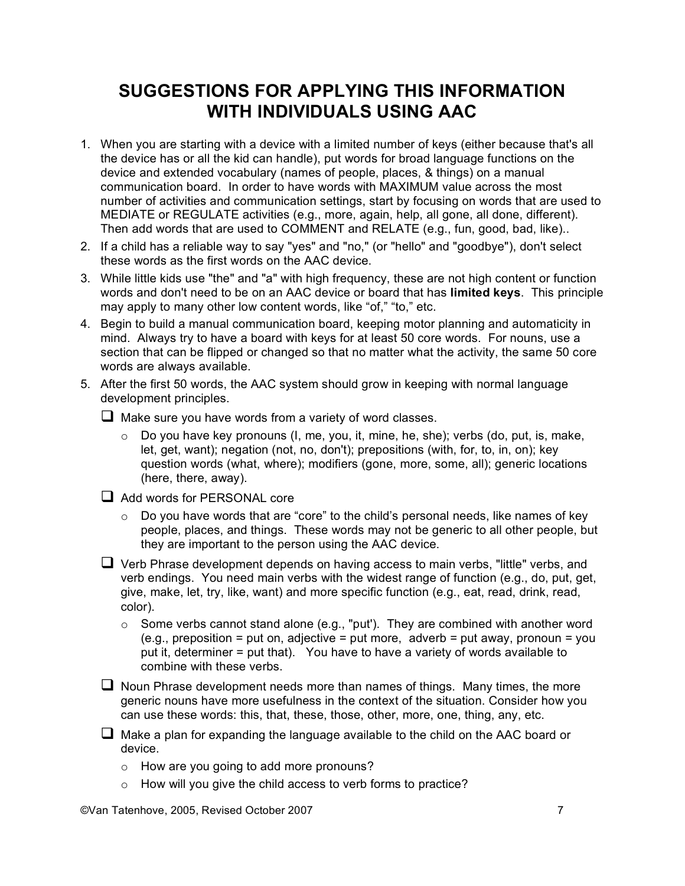# **SUGGESTIONS FOR APPLYING THIS INFORMATION WITH INDIVIDUALS USING AAC**

- 1. When you are starting with a device with a limited number of keys (either because that's all the device has or all the kid can handle), put words for broad language functions on the device and extended vocabulary (names of people, places, & things) on a manual communication board. In order to have words with MAXIMUM value across the most number of activities and communication settings, start by focusing on words that are used to MEDIATE or REGULATE activities (e.g., more, again, help, all gone, all done, different). Then add words that are used to COMMENT and RELATE (e.g., fun, good, bad, like)..
- 2. If a child has a reliable way to say "yes" and "no," (or "hello" and "goodbye"), don't select these words as the first words on the AAC device.
- 3. While little kids use "the" and "a" with high frequency, these are not high content or function words and don't need to be on an AAC device or board that has **limited keys**. This principle may apply to many other low content words, like "of," "to," etc.
- 4. Begin to build a manual communication board, keeping motor planning and automaticity in mind. Always try to have a board with keys for at least 50 core words. For nouns, use a section that can be flipped or changed so that no matter what the activity, the same 50 core words are always available.
- 5. After the first 50 words, the AAC system should grow in keeping with normal language development principles.
	- $\Box$  Make sure you have words from a variety of word classes.
		- o Do you have key pronouns (I, me, you, it, mine, he, she); verbs (do, put, is, make, let, get, want); negation (not, no, don't); prepositions (with, for, to, in, on); key question words (what, where); modifiers (gone, more, some, all); generic locations (here, there, away).
	- Add words for PERSONAL core
		- $\circ$  Do you have words that are "core" to the child's personal needs, like names of key people, places, and things. These words may not be generic to all other people, but they are important to the person using the AAC device.
	- $\Box$  Verb Phrase development depends on having access to main verbs, "little" verbs, and verb endings. You need main verbs with the widest range of function (e.g., do, put, get, give, make, let, try, like, want) and more specific function (e.g., eat, read, drink, read, color).
		- $\circ$  Some verbs cannot stand alone (e.g., "put"). They are combined with another word  $(e.g., preposition = put on, adjective = put more, adverb = put away, pronoun = you$ put it, determiner = put that). You have to have a variety of words available to combine with these verbs.
	- $\Box$  Noun Phrase development needs more than names of things. Many times, the more generic nouns have more usefulness in the context of the situation. Consider how you can use these words: this, that, these, those, other, more, one, thing, any, etc.
	- $\Box$  Make a plan for expanding the language available to the child on the AAC board or device.
		- o How are you going to add more pronouns?
		- o How will you give the child access to verb forms to practice?

©Van Tatenhove, 2005, Revised October 2007 7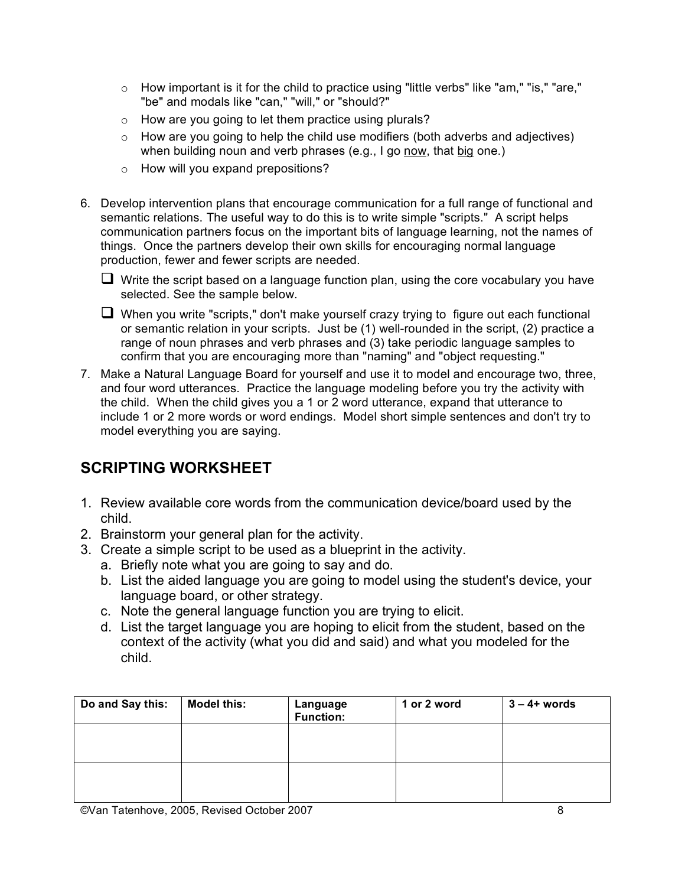- o How important is it for the child to practice using "little verbs" like "am," "is," "are," "be" and modals like "can," "will," or "should?"
- o How are you going to let them practice using plurals?
- o How are you going to help the child use modifiers (both adverbs and adjectives) when building noun and verb phrases (e.g., I go now, that big one.)
- o How will you expand prepositions?
- 6. Develop intervention plans that encourage communication for a full range of functional and semantic relations. The useful way to do this is to write simple "scripts." A script helps communication partners focus on the important bits of language learning, not the names of things. Once the partners develop their own skills for encouraging normal language production, fewer and fewer scripts are needed.
	- $\Box$  Write the script based on a language function plan, using the core vocabulary you have selected. See the sample below.
	- $\Box$  When you write "scripts," don't make yourself crazy trying to figure out each functional or semantic relation in your scripts. Just be (1) well-rounded in the script, (2) practice a range of noun phrases and verb phrases and (3) take periodic language samples to confirm that you are encouraging more than "naming" and "object requesting."
- 7. Make a Natural Language Board for yourself and use it to model and encourage two, three, and four word utterances. Practice the language modeling before you try the activity with the child. When the child gives you a 1 or 2 word utterance, expand that utterance to include 1 or 2 more words or word endings. Model short simple sentences and don't try to model everything you are saying.

# **SCRIPTING WORKSHEET**

- 1. Review available core words from the communication device/board used by the child.
- 2. Brainstorm your general plan for the activity.
- 3. Create a simple script to be used as a blueprint in the activity.
	- a. Briefly note what you are going to say and do.
	- b. List the aided language you are going to model using the student's device, your language board, or other strategy.
	- c. Note the general language function you are trying to elicit.
	- d. List the target language you are hoping to elicit from the student, based on the context of the activity (what you did and said) and what you modeled for the child.

| Do and Say this: | <b>Model this:</b> | Language<br><b>Function:</b> | 1 or 2 word | $3 - 4 + words$ |
|------------------|--------------------|------------------------------|-------------|-----------------|
|                  |                    |                              |             |                 |
|                  |                    |                              |             |                 |
|                  |                    |                              |             |                 |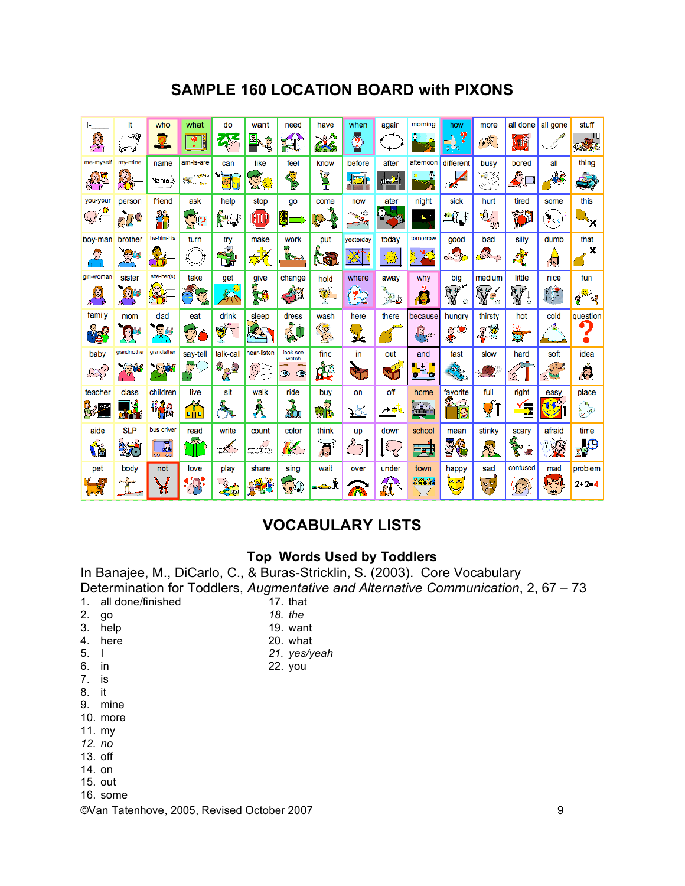# **SAMPLE 160 LOCATION BOARD with PIXONS**

| ı.                | it               | who                 | what                               | do                           | want                          | need                                        | have                               | when                        | again    | morning    | how                      | more                                           | all done            | all gone                            | stuff                        |
|-------------------|------------------|---------------------|------------------------------------|------------------------------|-------------------------------|---------------------------------------------|------------------------------------|-----------------------------|----------|------------|--------------------------|------------------------------------------------|---------------------|-------------------------------------|------------------------------|
| 美                 | 灣<br>125 W       | -6                  | $? \,$ i                           | $\mathbf{Z}$                 | O.<br><b>RAN</b>              | 窩                                           | <b>NB</b><br>65                    | \$                          |          |            | 9                        | 倾                                              | STOF                |                                     | <b>ONE</b>                   |
| me-myself         | my-mine          | name                | am-is-are                          | can                          | like                          | feel                                        | know                               | before                      | after    | afternoon  | different                | busy                                           | bored               | all                                 | thing                        |
| 愛                 | Ş                | Name:,≽             | <b>SHOW</b><br><b>SALARA TITTE</b> | 鄾                            | AS 19                         | <b>CONTRACTOR</b>                           | <b>THE</b>                         | SI I                        | ar y     | ò.<br>۰    | 4<br><b>A</b>            | 33                                             | ∠ிౖ                 | <b>AS</b>                           | <b>REA</b><br>والجد          |
| you-your          | person           | friend              | ask                                | help                         | stop                          | go                                          | come                               | now                         | later    | night      | sick                     | hurt                                           | tired               | some                                | this                         |
| $\mathbb{Q}$      | <b>A</b>         | 23                  | $\mathbb{Q}_2$                     | 木匠                           | (STOP)                        | 8                                           | Ç                                  | <b>CALL</b>                 |          | s.         | A,                       | $\frac{1}{\sqrt{2}}$                           | Y                   | $\frac{1}{8}$ $\cdot$ $\frac{1}{8}$ | ٠x                           |
| boy-man           | brother          | he-him-his          | turn                               | try                          | make                          | work                                        | put                                | vesterday                   | today    | tomorrow   | good                     | bad                                            | silly               | dumb                                | that                         |
| Q                 | D-11 L           |                     |                                    | <b>Expertise</b>             | ≫                             | $\mathbb{C}$ and $\mathbb{C}$               | Ńā                                 | '∕N                         | 癆        | 墨<br>Ķ     |                          | <b>CONTROLL</b>                                | Ä,                  | 鳳                                   | ×                            |
| girl-woman        | sister           | she-her(s)          | take                               | get                          | give                          | change                                      | hold                               | where                       | away     | why        | big                      | medium                                         | little              | nice                                | fun                          |
| $\mathbf{\Omega}$ | $\sum_{i=1}^{n}$ | $\mathbf{H}$        | ā<br>سيا                           | 糸                            | Ø                             |                                             |                                    | 22                          | a<br>Sea | Ċ          | 医炉<br>Y<br>$\mathcal{L}$ | Y<br>Í<br>$\mathcal{C}^{\prime}_{\mathcal{A}}$ | V<br>$\mathbb{R}^2$ | $\mathbb{N}$                        | 森川<br>್ನಿ<br>É               |
| family            | mom              | dad                 | eat                                | drink                        | sleep                         | dress                                       | wash                               | here                        | there    | because    | hungry                   | thirsty                                        | hot                 | cold                                | question                     |
| 13                |                  | <b>REGIS</b><br>dg. | 一<br>V                             | d.                           | $\mathbb{Z}^3$<br><b>CERT</b> | ŞÚ.                                         | 「海                                 | a. G<br>والز                |          | 0,,,       | g C<br>4.                | 28                                             | ۵                   |                                     | O<br>٠                       |
| baby              | grandmother      | grandfather         | say-tell                           | talk-call                    | hear-listen                   | look-see<br>watch                           | find                               | in                          | out      | and        | fast                     | slow                                           | hard                | soft                                | idea                         |
| 25                |                  | 集體                  |                                    | 522                          | 92                            | <b>All Contracts</b><br>۰<br>$\circledcirc$ | 逸                                  | Ō.                          | S        | $\bullet$  |                          | ٩.                                             | Ą                   | $1 - 2$<br>\ed                      |                              |
| teacher           | class            | children            | live                               | sit                          | walk                          | ride                                        | buy                                | on                          | off      | home       | favorite                 | full                                           | right               | easy                                | place                        |
| <b>B</b> area     |                  | u <sub>m</sub> a    | 喬                                  | á                            | Â                             | ×,<br>кÒу                                   | Vb.                                | <u> 5.</u>                  | ⊿様       | <b>YEY</b> | 金<br>D                   | VÎ                                             | ∽,<br>×             | بي                                  | O                            |
| aide              | <b>SLP</b>       | bus driver          | read                               | write                        | count                         | color                                       | think                              | up                          | down     | school     | mean                     | stinky                                         | scary               | afraid                              | time                         |
| Ćė                | 26               | 圜<br>öä.            | лgа.<br>÷                          | $\mathscr{L}$ )              | gréfo.                        | K                                           | $\overline{\boldsymbol{\theta}}^i$ | $\mathcal{F}_{\mathcal{P}}$ | LEC      | 25         | <b>KNA</b><br>¢          | 慰                                              | Ö.<br>Σ             | X                                   | $\bigoplus_{i\in\mathbb{Z}}$ |
| pet               | body             | not                 | love                               | play                         | share                         | sing                                        | wait                               | over                        | under    | town       | happy                    | sad                                            | confused            | mad                                 | problem                      |
| 閾                 | Ŕ                | ň                   | . <mark>ф</mark><br>×              | $\mathcal{L}$<br><u>ezta</u> |                               | $\mathfrak{P}$                              | -÷-l                               | $\widehat{\mathbb{A}}$      | 鈨        | 普通論        | 内外<br>₩                  | $\sqrt{\frac{2}{\pi}}$                         | <b>KE</b>           | h-3<br>暠                            | $2 - 2 = 4$                  |

# **VOCABULARY LISTS**

### **Top Words Used by Toddlers**

In Banajee, M., DiCarlo, C., & Buras-Stricklin, S. (2003). Core Vocabulary Determination for Toddlers, *Augmentative and Alternative Communication*, 2, 67 – 73 17. that

- 1. all done/finished
- 2. go 3. help
- 4. here
- 19. want 20. what
- *21. yes/yeah*

*18. the*

22. you

- 6. in 7. is
- 8. it

5. I

- 9. mine
- 10. more
- 11. my
- *12. no*
- 13. off
- 14. on
- 15. out
- 16. some
- ©Van Tatenhove, 2005, Revised October 2007 9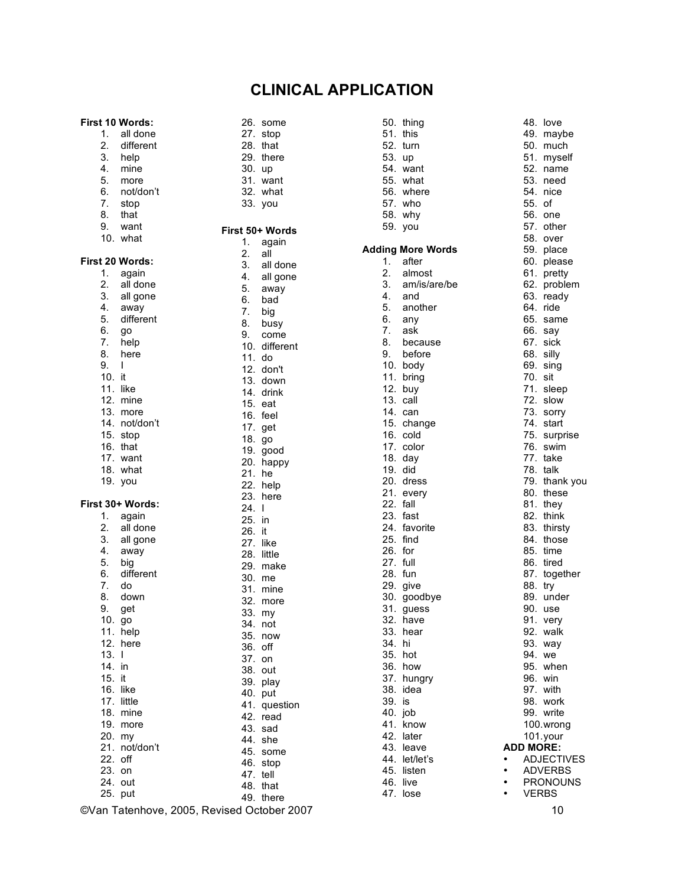### **CLINICAL APPLICATION**

26. some 27. stop 28. that 29. there 30. up 31. want 32. what 33. you

**First 50+ Words**

#### **First 10 Words:**

1. all done 2. different

- 3. help
- 4. mine
- 5. more
- 6. not/don't
- 7. stop
- 8. that
- 9. want
- 10. what

#### **First 20 Words:**

| ΊU.    | wnat             | 1.  | again        |
|--------|------------------|-----|--------------|
|        | First 20 Words:  | 2.  | all          |
| 1.     |                  | 3.  | all done     |
| 2.     | again            | 4.  | all gone     |
|        | all done         | 5.  | away         |
| 3.     | all gone         | 6.  | bad          |
| 4.     | away             | 7.  | big          |
| 5.     | different        | 8.  | busy         |
| 6.     | go               | 9.  | come         |
| 7.     | help             | 10. | different    |
| 8.     | here             | 11. | do           |
| 9.     | L                | 12. | don't        |
| 10.    | it               | 13. | down         |
|        | 11. like         | 14. | drink        |
| 12.    | mine             | 15. | eat          |
|        | 13. more         | 16. | feel         |
|        | 14. not/don't    | 17. | get          |
|        | 15. stop         | 18. | go           |
|        | 16. that         | 19. | good         |
|        | 17. want         | 20. | happy        |
|        | 18. what         | 21. | he           |
| 19.    | you              | 22. | help         |
|        |                  | 23. | here         |
|        | First 30+ Words: | 24. | I            |
| 1.     | again            | 25. | in           |
| 2.     | all done         | 26. | it           |
| 3.     | all gone         |     | 27. like     |
| 4.     | away             |     | 28. little   |
| 5.     | big              | 29. | make         |
| 6.     | different        | 30. | me           |
| 7.     | do               | 31. | mine         |
| 8.     | down             | 32. | more         |
| 9.     | get              | 33. | my           |
| 10.    | go               | 34. | not          |
| 11.    | help             | 35. | now          |
| 12.    | here             | 36. | off          |
| 13.    | L                | 37. | on           |
| 14. in |                  | 38. | out          |
| 15. it |                  | 39. | play         |
|        | 16. like         | 40. | put          |
|        | 17. little       | 41. | question     |
|        | 18. mine         | 42. | read         |
|        | 19. more         | 43. | sad          |
| 20. my |                  |     | 44. she      |
| 21.    | not/don't        | 45. |              |
| 22.    | off              | 46. | some<br>stop |
| 23.    | on               | 47. | tell         |
| 24.    | out              | 48. | that         |
| 25.    | put              | 49. |              |
|        |                  |     | there        |

©Van Tatenhove, 2005, Revised October 2007 10

|          | 50. thing<br>51. this<br>$52.$ turn<br>53. up<br>54. want<br>55. what<br>56. where<br>57. who<br>58. why<br>59. you |
|----------|---------------------------------------------------------------------------------------------------------------------|
|          | <b>Adding More Words</b><br>1. after                                                                                |
|          | 2. almost                                                                                                           |
|          | 3. $am/$<br>4. and<br>am/is/are/be                                                                                  |
|          | 5. another                                                                                                          |
| 6.<br>7. | any<br>ask                                                                                                          |
|          | 8. because                                                                                                          |
|          |                                                                                                                     |
|          | 9. before<br>10. body<br>11. bring                                                                                  |
|          | 12. buy                                                                                                             |
|          | 13. call<br>14. can                                                                                                 |
|          | 15. change                                                                                                          |
|          | 16. cold                                                                                                            |
|          | 17. color<br>18. day                                                                                                |
|          | 19. did                                                                                                             |
|          | 20. dress<br>21. every                                                                                              |
| 22. fall |                                                                                                                     |
|          | 23. fast                                                                                                            |
|          | 24. favorite<br>25. find                                                                                            |
| 26. for  |                                                                                                                     |
| 27. full |                                                                                                                     |
|          | 28. fun<br>29. give                                                                                                 |
|          | 30. goodbye                                                                                                         |
| 31.      | guess                                                                                                               |
| 33.      | 32. have<br>hear                                                                                                    |
| 34.      | hi                                                                                                                  |
| 35.      | hot                                                                                                                 |
| 36.      | how<br>37. hungry                                                                                                   |
| 38.      | idea                                                                                                                |
| 39.      | is                                                                                                                  |
| 40. job  | 41. know                                                                                                            |
| 42.      | later                                                                                                               |
| 43.      | leave                                                                                                               |
|          | 44. let/let's<br>45. listen                                                                                         |
| 46.      | live                                                                                                                |
| 47.      | lose                                                                                                                |

49. maybe 50. much 51. myself 52. name 53. need 54. nice 55. of 56. one 57. other 58. over 59. place 60. please 61. pretty 62. problem 63. ready 64. ride 65. same 66. say 67. sick 68. silly 69. sing 70. sit 71. sleep 72. slow 73. sorry 74. start 75. surprise 76. swim 77. take 78. talk 79. thank you 80. these 81. they 82. think 83. thirsty 84. those 85. time 86. tired 87. together 88. try 89. under 90. use 91. very 92. walk 93. way 94. we 95. when 96. win 97. with 98. work 99. write 100.wrong 101.your **ADD MORE: ADJECTIVES** • ADVERBS • PRONOUNS<br>• VERRS **VERBS** 

48. love